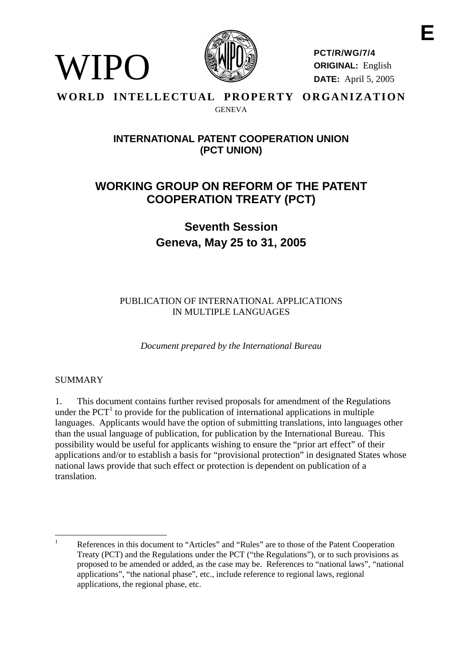

**PCT/R/WG/7/4 ORIGINAL:** English **DATE:** April 5, 2005

## **WORLD INTELLECTUAL PROPERTY ORGANIZATION** GENEVA

# **INTERNATIONALPATENT COOPERATIONUNION (PCT UNION)**

# **WORKING GROUP ON REF ORM OF THE PATENT COOPERATION TREATY ( PCT)**

**Seventh Session Geneva, Ma y 25 to 31, 2005**

PUBLICATION OF INTER NATIONAL APPLICATION S IN MULTIPLE LANGUAGE S

*Document prepared by the International Bureau*

## SUMMARY

WIPO

1. This document contains further revised proposals for a mendment of the Regulations under the PC  $T^1$  to provide for the publication of international applications in multiple languages. Applicants would have the option of submitting translations, into language so ther than the usual language of publication, for publication by the International Bureau. This possibility would be useful for applicants wishing to ensure the "prior art effect" of their applications and/ortoestablish a basis for "provisional protection" indesignated States whose national laws provide that such effect or protection is dependent on the dent on publication of a translation.

<sup>&</sup>lt;sup>1</sup> References in this document to "Articles" and "Rule s" are to those of the Patent Cooperation Treaty (PCT) and the Regulations under the PCT ("the Regulations"), or to such provisions as proposed to be amended or added, as the case may be. References to "national laws", "national applications", "the nation alphase", etc., include reference to regional laws, regional applications, the regional phase, etc.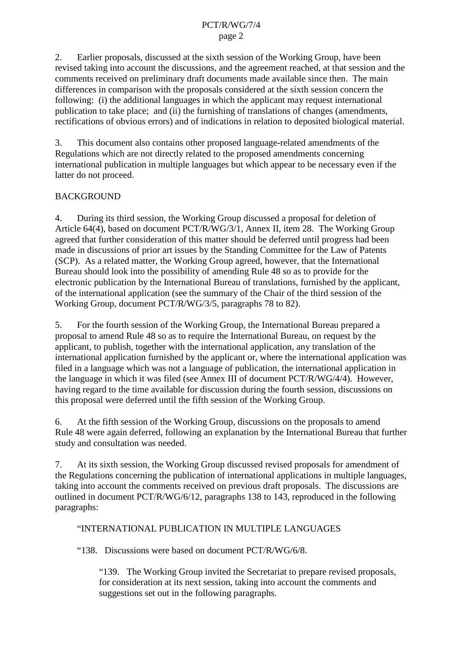2. Earlier proposals, discussed at the sixth session of the Working Group, have been revised taking into account the discussions, and the agreement reached, at that session and the comments re ceived on preliminary draft documents made available since then. The main differences in comparison with the proposals considered at the sixth session concern the following: (i) the additional languages in which the applicant may request international publication to take place; and (ii) the furnishing of translations of changes (amendments, rectifications of obvious errors) and of indications in relation to deposited biological material.

3. This documentals occontains other proposed language -related amendments of the Regulations which are not directly related to the proposed amendments concerning international publication in multiple languages but which appear to be necessary even if the latterdonotproceed.

## **BACKGROUND**

4. During its third session, the Working Group discussed aproposal for deletion of Article 64(4), based on document PCT/R/WG/3/1, Annex II, item 28. The Working Group agreed that further consideration of this matter should be deferred until progress had been made indiscussions of prior art issues by the Standing Committee for the Law of Patents (SCP). As a related matter, the Working Group agreed, however, that the International Bureau should look into the possibility of amending Rul e<sup>48</sup> so as to provide for the electronic publication by the International Bureau of translations, furnished by the applicant, of the international application (see the summary of the Chair of the third session of the Working Group, document PCT/R/WG/3/5, p aragraphs 78 to 82).

5. Forthe fourth session of the Working Group, the International Bureau prepared a proposal to amend Rule 48 so as to require the International Bureau, on request by the applicant, to publish, to gether with the einternational application, any translation of the international application furnished by the applicant or, where the international application was filed in a language which was not a language of publication, the international application in the language in which it was filed (see Annex III of document  $PCT/R/WG/4/4$ ). However, having regard to the time available for discussion during the fourth session, discussions on this proposal were deferred until the fifth session of the Working Group.

6. At the fifth session of the Working Group, discussions on the proposals to amend Rule 48 were again deferred, following an explanation by the International Bureau that further study and consultation was needed.

7. At its sixthesession, the Working Group discussed revised proposals for a mendment of the Regulations concerning the publication of international applications in multiple languages, taking into account the comments received on previous draft proposals. The dis cussions are outlined indocument PCT/R/WG/6/12, paragraphs 138 to 143, reproduced in the following paragraphs:

## "INTERNATIONAL PUBLICATION IN MULTIPLE LANGUAGES

"138. Discussions were based on document PCT/R/WG/6/8.

"139. The Working Group invited the S ecretariat to prepare revised proposals, for consideration at its next session, taking into account the comments and suggestions set out in the following paragraphs.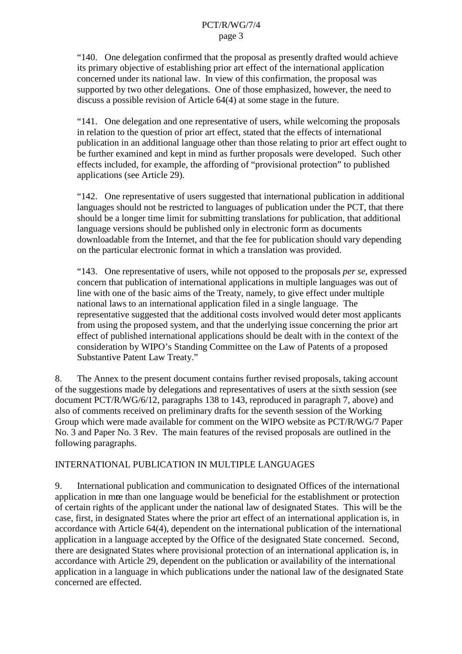"140. One delegation confirmed that the proposal as presently drafted would achieve its pr imary objective of establishing prior art effect of the international application concerned under its national law. Inview of this confirmation, the proposal was supported by two other delegations. One of those emphasized, however, the need to  $discuss a possible revision of Article 64(4) at some stage in the future.$ 

"141. One delegation and one representative of users, while we looming the proposals in relation to the question of prior art effect, stated that the effects of international publication in a nadditional language other than those relating to prior art effect ought to befurther examined and kept in mind as further proposals were developed. Such other effects included, for example, the affording of "provisional protection" to published applications (see Article 29).

"142. Onerepresentative of users suggested that international publication in additional languages should not be restricted to languages of publication under the PCT, that there should be a longer time limit for submitting translat ions for publication, that additional language versions should be published only inelectronic form as documents downloadable from the Internet, and that the fee for publication should vary depending on the particular electronic format in which a translation on was provided.

"143. One representative of users, while not opposed to the proposals *perse*, expressed concern that publication of international applications in multiple languages was out of line with one of the basic aims of the Treaty, namely, to give effect under multiple national laws to an international application filed in a single language. The representative suggested that the additional costs involved would deter most applicants from using the proposed system, and that the underlying issue concerning the prior art effect of published international applications should be dealt with in the context of the consideration by WIPO's Standing Committee on the Law of Patents of a proposed SubstantivePatentLawTreaty."

8. The A nnex to the present document contains further revised proposals, taking account of the suggestions made by delegations and representatives of users at the sixth session (see document PCT/R/WG/6/12, paragraphs 138 to 143, reproduced in paragraph 7, above) and also of comments received on preliminary drafts for these venthsession of the Working Group which were made available for comment on the WIPO website as PCT/R/WG/7 Paper No. 3 and Paper No. 3 Rev. The main f eatures of the revised proposals are outlined in the following paragraphs.

## INTERNATIONAL PUBLICATION IN MULTIPLEL ANGUAGES

9. International publication and communication to designated Offices of the international application in meethan one language would be beneficial for the establishment or protection of certain rights of the applicant under the national law of designated States. This will be the case, first, in designated States where the prior art effect of an international application is, in accordance with Article 64(4), dependent on the international publication of the international application in a language accepted by the Office of the designated State concerned. Second, there are designated States where provisional production of an international application is, in accordance with Article 29, dependent on the publication or availability of the international application in a language in which publications under the national law of the designated State concerned are effect ed.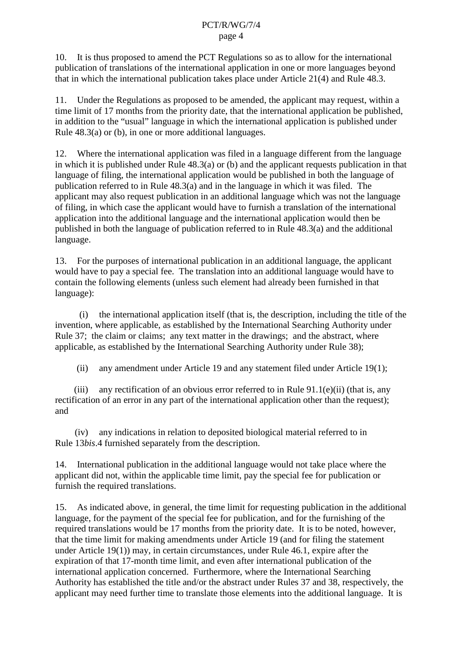10. It is thus proposed to amend the PCT Regulations so as to allow for the international publication of translations of the international application in one or more languages beyond that in which the international publication t ake splace under Article 21(4) and Rule 48.3.

11. Under the Regulations as proposed to be amended, the applicant may request, within a time limit of 17 months from the priority date, that the international application be published, in addition to the "usual" language in which the international application is published under Rule  $48.3(a)$  or  $(b)$ , in one or more additional languages.

12. Where the international application was filed in a language different from the language in which it is published under Rule  $48.3(a)$  or (b) and the applicant requests publication in that language of filing, the international application would be published in both the language of publication referred to in Rule 48.3(a) and in the la nguage in which it was filed. The applicant may also request publication in an additional language which was not the language offiling, in which case the applicant would have to furnish a translation of the international application into the additional language and the international application would then be published in both the language of publication referred to in Rule 48.3(a) and the additional language.

13. For the purposes of international publication in an additional langua ge, the applicant would have to pay aspecial fee. The translation into an additional language would have to contain the following elements (unless such element had already been furnished in that language):

(i) the international application itself (that is, the description, including the title of the invention, where applicable, as established by the International Searching Authority under Rule 37; the claim or claims; any text matter in the drawings; and the abstract, where applicable, as established by the International Searching Authority under Rule 38);

(ii) any amendment under Article 19 and any statement filed under Article  $19(1)$ ;

(iii) any rectification of an obvious error referred to in Rule 91.1(e)(ii) (that is, any rectification of an err or in any part of the international application other than the request); and

(iv) anyindications in relation to deposite divideo in a material referred to in Rule 13*bis*.4 furnished separately from the description.

14. International publication in the additional language would not take place where the applicant did not, within the applicable time limit, pay the special fee for publication or furnish the required translations.

15. As indicated above, in gener al, the time limit for requesting publication in the additional language, for the payment of the special fee for publication, and for the furnishing of the required translations would be 17 months from the priority date. It is to be noted, however, that the time limit formal king amendments under Article 19 (and for filing the statement under Article  $19(1)$ ) may, incertain circumstances, under Rule  $46.1$ , expire after the expiration of that 17 -month time limit, and even after international publication of the international application concerned. Furthermore, where the International Searching Authority has established the title and/orthered beta radium der Rules 37 and 38, respectively, the applicant may need further time to translate those elements into the addi tional language. It is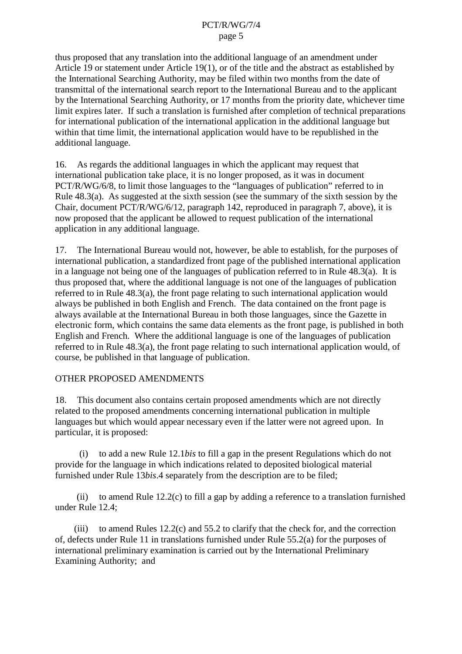thus proposed that any translation into the additional language of an amendment under Article 19 or statement under Article 19(1), or of the title and the abstract as established by the International Searching Authority, may be file dwithin two months from the date of transmittal of the international search report to the International Bureau and to the applicant by the International Searching Authority, or 17 months from the priority date, whichever time limit expires later. If such a translation is furnished after completion of technical preparations for international publication of the international application in the additional language but within that time limit, the international application would have to be republished in the additionallanguage.

16. As regards the additional languages in which the applicant may request that international publication take place, it is no longer proposed, as it was indocument PCT/R/WG/6/8, to limit those languages to the "languages of publication" referred to in Rule  $48.3(a)$ . As suggested at the sixth session (see the summary of the sixth session by the Chair, document PCT/R/WG/6/12, paragraph 142, reproduced in paragraph 7, abo ve), it is now proposed that the applicant be allowed to request publication of the international applicationinany additional language.

17. The International Bureau would not, however, be able to establish, for the purposes of international publication, a standardized front page of the published international application  $in a language not being one of the language of publication referred to in Rule 48.3(a). It is$ thus proposed that, where the additional language is not one of the languages of publication referred to in Rule  $48.3(a)$ , the front page relating to such international application would always be published in both English and French. The data contained on the front page is always available at the International Bureau in both those languages, since the Gazette in electronic form, which contains the same data elements as the front page, is published in both English and French. Where the additional language is one of the languages of publication referred to in Rule 48.3(a), the front page relating to such international application would, of course, be published in that language of publication.

## OTHERPROPOSEDAMENDMENTS

18. This documentals ocontains certain proposed amendments which are not directly related to the proposed amendments concerning international publication in multiple languages but which would appear necessary even if the latter were not agreed upon. In particular, it is proposed:

(i) to add a new Rule 12.1*b* is to fill a gap in the present Regulations which donot provide for the language in which indications related to deposited biological material furnished under Rule 13 *bis*.4 separately from the description are to be filed;

(ii) to amend Rule  $12.2(c)$  to fill a gap by adding a refer ence to a translation furnished underRule 12.4:

(iii) to amend Rules  $12.2$  (c) and  $55.2$  to clarify that the check for, and the correction of, defects under Rule 11 in translations furnished under Rule 55.2(a) for the purposes of international preliminary examination is carried out by the International Preliminary Examining Authority; and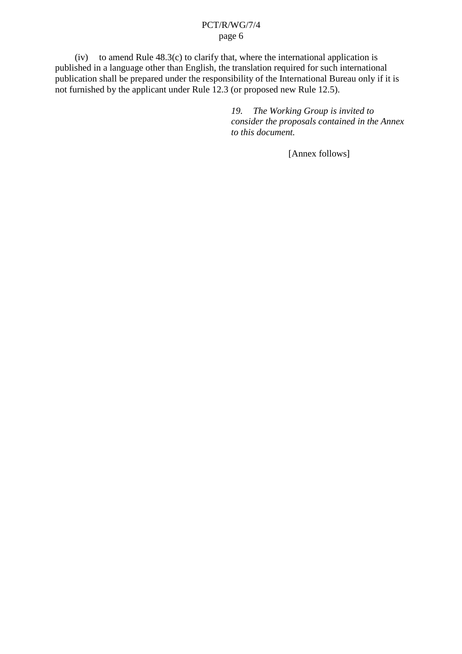$(iv)$  to amend Rule  $48.3(c)$  to clarify that, where the international application is published in a language other than English, the translation required for such intern ational publication shall be prepared under the responsibility of the International Bureau only if it is not furnished by the applicant under Rule  $12.3$  (or proposed new Rule 12.5).

> *19. The Working Group is invited to consider the pr oposals contained in the Annex to this document.*

> > [Annex follows]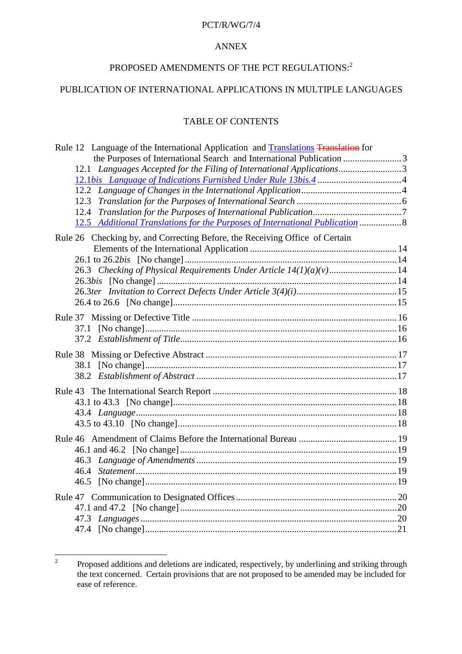#### PCT/R/WG/7/4

#### ANNEX

# PROPOSED AMENDMENTS OF THE PCT REGULATIONS:  $^{\,2}$

## PUBLICATION OF INTERNATIONAL APPLICATIONS IN MULTIPLE LANGUAGES

## **TABLEOFCONTENTS**

| Rule12LanguageoftheInternationalApplicationand Translations Translationfor      |  |
|---------------------------------------------------------------------------------|--|
| thePurposesofInternationalSearchandInternationalPublication must manufactured 3 |  |
|                                                                                 |  |
|                                                                                 |  |
|                                                                                 |  |
|                                                                                 |  |
|                                                                                 |  |
| 12.5 AdditionalTranslationsforthePurposesofInternationalPublication manuscule 8 |  |
| Rule26Checkingby,andCorrectingBefore,theReceivingOfficeofCertain                |  |
|                                                                                 |  |
|                                                                                 |  |
| 26.3 CheckingofPhysicalRequi rementsUnderArticle14(1)(a)(v) 14                  |  |
|                                                                                 |  |
|                                                                                 |  |
|                                                                                 |  |
|                                                                                 |  |
|                                                                                 |  |
|                                                                                 |  |
|                                                                                 |  |
|                                                                                 |  |
|                                                                                 |  |
|                                                                                 |  |
|                                                                                 |  |
|                                                                                 |  |
|                                                                                 |  |
|                                                                                 |  |
|                                                                                 |  |
| Rule46AmendmentofClaimsBeforetheInternationalBureau manufacture.com/            |  |
|                                                                                 |  |
|                                                                                 |  |
|                                                                                 |  |
|                                                                                 |  |
|                                                                                 |  |
|                                                                                 |  |
|                                                                                 |  |
|                                                                                 |  |
|                                                                                 |  |

<sup>&</sup>lt;sup>2</sup> Proposed additions and deletions are indicated, respectively, by underlining and striking through the text concerned. Certain provisions that are not proposed to be a member of the text concerned. Certain provisions th the text concerned. Certain provisions that are not p ease of reference.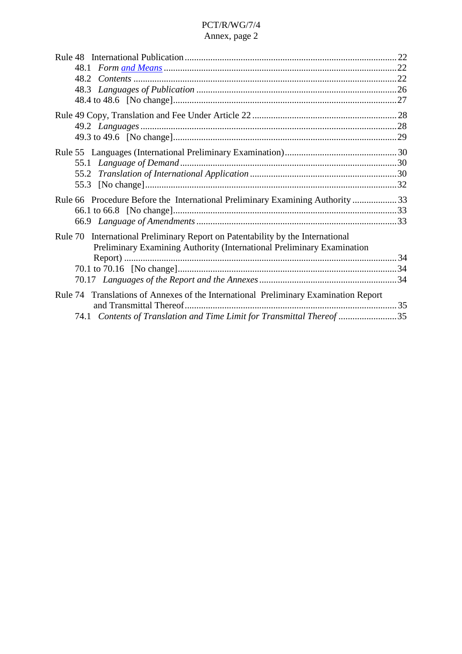| Rule55Languages(InternationalPreliminaryExamination) manufacture.com/manufacture.id=30 |  |
|----------------------------------------------------------------------------------------|--|
|                                                                                        |  |
|                                                                                        |  |
|                                                                                        |  |
| Rule66ProcedureBeforetheInternationalPreliminaryExaminin gAuthority 33                 |  |
|                                                                                        |  |
|                                                                                        |  |
| Rule70InternationalPreliminaryReportonPatentabilitybytheInternational                  |  |
| PreliminaryExaminingAuthority(InternationalPreliminaryExamination                      |  |
|                                                                                        |  |
|                                                                                        |  |
|                                                                                        |  |
| Rule74 TranslationsofAnnexesoftheInternationalPreliminaryExaminationReport             |  |
|                                                                                        |  |
| 74.1 ContentsofTranslationandTimeLimitforTransmittalThereof manu-manu-manu-35          |  |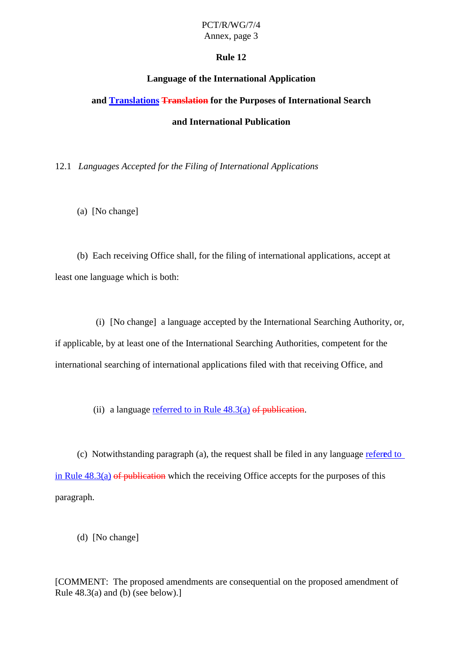## **Rule 12**

## **Language of the International Application**

## **and Translations Translation for the Purposes of International Search**

## **and International Publication**

## 12.1 *Languages Accepted for the Filing of International Applications*

(a) [Nochange]

(b) Each receiving Offices hall, forthe filing of international applications, acceptat leastonelanguage which is both:

(i) [Nochange] alanguage accepted by the International Searching Authority, or, if applicable, by at least one of the International Searching Authorities, c ompetent for the international searching of international applications filed with that receiving Office, and

(ii) alanguage referred to in Rule  $48.3(a)$  of publication.

 $(c)$  Notwithstanding paragraph  $(a)$ , the request shall be filed in any language referred to  $in Rule$  48.3(a)  $of *publication* which therefore *thereceiving* Office *accepts for the purpose* of this$ paragraph.

(d) [Nochange]

[COMMENT:The proposed amendments are consequential on the proposed amendment of Rule  $48.3(a)$  and  $(b)$  (see below).]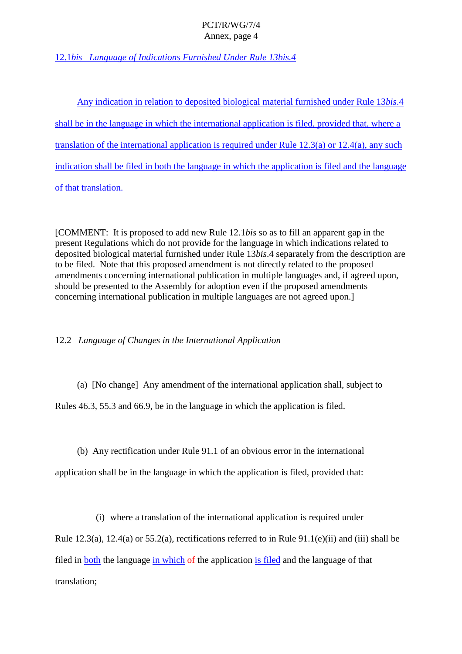12.1*bis Language of Indications Furnished Under Rule 13bis.4*

Anvindication in relation to deposited biological material furnished under Rule 13*bis*.4 shall be in the language in which the international application is filed, provided that, where a translation of the international application is required under Rule  $12.3(a)$  or  $12.4(a)$ , any such indication shall be filed in both the language in which the application is filed and the language of that translation.

[COMMENT: It is proposed to add new Rule 12.1*bis* so as to fill an apparent gap in the present Regulations which do not provide for the language in which indications related to deposited biological material furnished under Rule 13 *bis*.4 separately from the description are to be filed. Note that this proposed amend ment is not directly related to the proposed amendments concerning international publication in multiple languages and, if agreed upon, should be presented to the Assembly for adoption even if the proposed amendments concerning international publication in multiple languages are not agreed upon.

12.2 *Language of Changes in the International Application*

(a) [Nochange] Anyamendment of the international applicationshall, subject to

Rules 46.3, 55.3 and 66.9, beinthe language in which the application is filed.

(b) Any rectification under Rule 91.1 of an obvious error in the international

application shall be in the language in which the application is filed, provided that:

(i) where a translation of the international application is required under

Rule  $12.3(a)$ ,  $12.4(a)$  or  $55.2(a)$ , rectifications referred to in Rule  $91.1(e)$ (ii) and (iii) shall be filed in both the language in which of the application is filed and the language of that translation;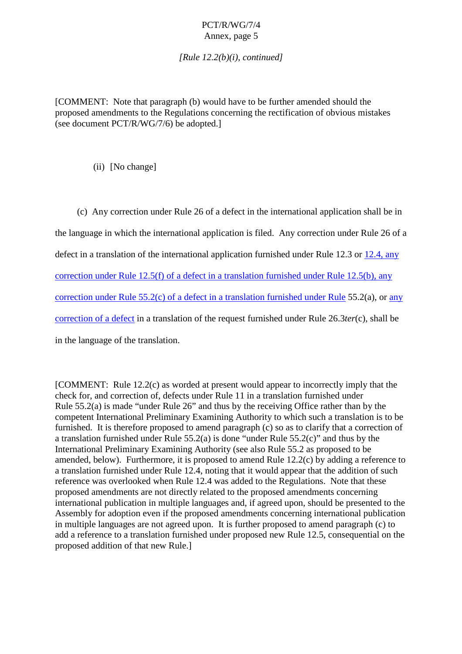*[Rule 12.2(b)(i), continued]*

[COMMENT: Note that parag raph (b) would have to be further amended should the proposed amendments to the Regulations concerning the rectification of obvious mistakes (seedocument PCT/R/WG/7/6) be adopted.]

(ii) [Nochange]

(c) Any correction under Rule 26 of a defect in the international application shall be in the language in which the international application is filed. Any correction under Rule 26 of a defectinatranslation of the international application furnished under Rule 12.3 or 12.4, any  $correction under Rule 12.5( f) of a detection at translation furnis hedunder Rule 12.5(b), any$  $correction under Rule 55.2(c) of a defect in a translation furnished under Rule 55.2(a), or any$ correction of a defect in a translation of the request furnished under Rule 26.3*ter*(c), shall be in the language of the translation.

[COMMENT:Rule 12.2(c) as worded at present would appear to incorrectly imply that the check for, and correction of, defects under Rule 11 in a translation furnished under Rule  $55.2(a)$  is made "under Rule  $26$ " and thu s by the receiving Office rather than by the competent International Preliminary Examining Authority to which such a translation is to be furnished. It is therefore proposed to amend paragraph (c) so as to clarify that a correction of a translation furnis hed under Rule  $55.2(a)$  is done "under Rule  $55.2(c)$ " and thus by the International Preliminary Examining Authority (see also Rule 55.2 as proposed to be amended, below). Furthermore, it is proposed to amend Rule  $12.2(c)$  by adding a reference to a translation furnished under Rule 12.4, noting that it would appear that the addition of such a translation of such a reference was overlooked when Rule 12.4 was added to the Regulations. Note that these proposed amendments are not directly related to the proposed amendments concerning international publication in multiple languages and, if agreed upon, should be presented to the Assembly for adoption even if the proposed amendments concerning international publication  $imultiple language same not agreed upon. It is further proposed to a  $mendparagraph(c) to$$ add a reference to a translation furnished under proposed new Rule 12.5, consequential on the proposed addition of that new Rule.]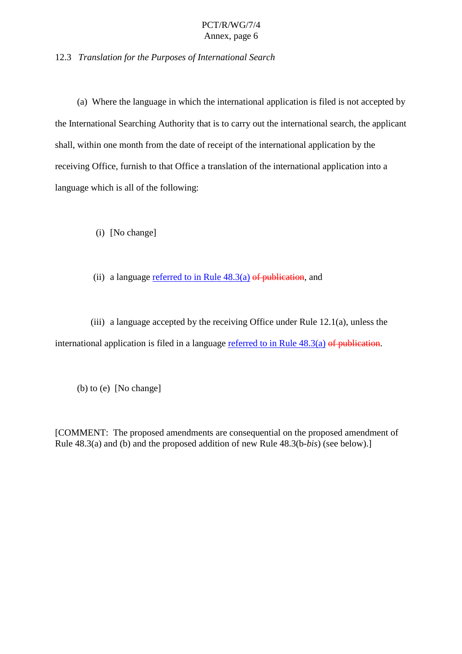12.3 *Translation for the Purposes of International Search*

(a) Where the language in which the inter national application is filed is not accepted by the International Searching Authority that is to carry out the international search, the applicant shall, within one month from the date of receipt of the international application by the receiving Office, f urnish to that Office a translation of the international application into a language which is all of the following:

(i) [Nochange]

(ii) a language referred to in Rule  $48.3(a)$  of publication, and

(iii) a language accepted by the receiving Office under R ule  $12.1(a)$ , unless the international application is filed in a language referred to in Rule  $48.3(a)$  of publication.

(b)  $to (e)$  [Nochange]

[COMMENT:The proposed amendments are consequential on the proposed amendment of Rule 48.3(a) and (b) and the prove posed addition of new Rule 48.3(b-*bis*) (see below).]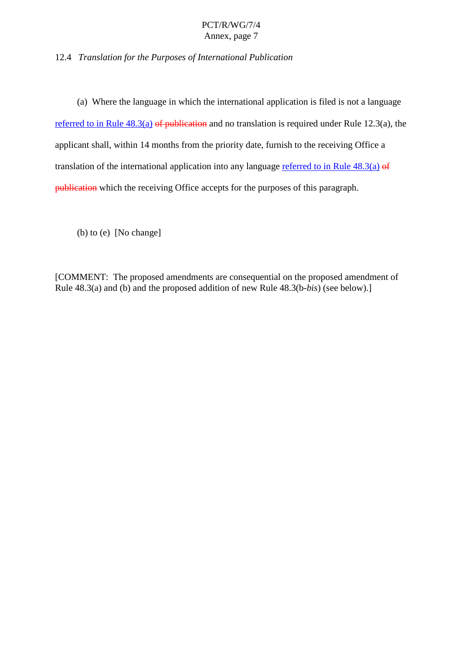12.4 *Translation for the Purposes of International Publication*

(a) Where the language in which the international application is filed is not a language

referred to in Rule  $48.3(a)$  of publication and no translation is required under Rule  $12.3(a)$ , the applicant shall, within 14 months from the priority date, furnish to the receiving Office a translation of the international application into any language referred to in Rule  $48.3(a)$  of publication which there ceiving Office accepts for the purposes of this paragraph.

(b)  $to (e)$  [No change]

[COMMENT:The proposed amendments are consequential on the proposed amendment of Rule  $48.3(a)$  and (b) and the proposed addition of new Rule  $48.3(b-bis)$  (see below).]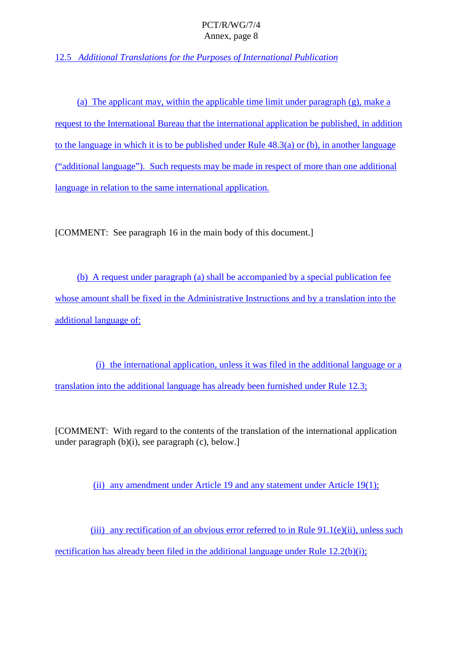12.5 *Additional Translations for the Purposes of International Publication*

(a) The applicant may, within the applicable time limit under paragraph  $(g)$ , make a request to the International Bureau that the international application be published, in add ition  $to the language in which it is to be published under Rule 48.3(a) or (b), in another language$ ("additional language"). Such requests may be made in respect of more than one additional language in relation to the same international application.

[COMMENT:Seeparagraph 16 in the main body of this document.]

(b) A request under paragraph (a) shall be accompanied by a special publication fee whose amounts hall be fixed in the Administrative Instructions and by a translation into the additional language of:

(i) the international application, unless it was filed in the additional language or a translation into the additional language has already been furnished under Rule 12.3;

[COMMENT: With regard to the con tents of the translation of the international application  $under paragraph(b)(i), see paragraph(c), below.]$ 

(ii) any amendment under Article 19 and any statement under Article  $19(1)$ ;

(iii) any rectification of an obvious error referred to in Rule 91.1(e)(ii), unless such rectification has already been filed in the additional language under Rule  $12.2(b)(i)$ ;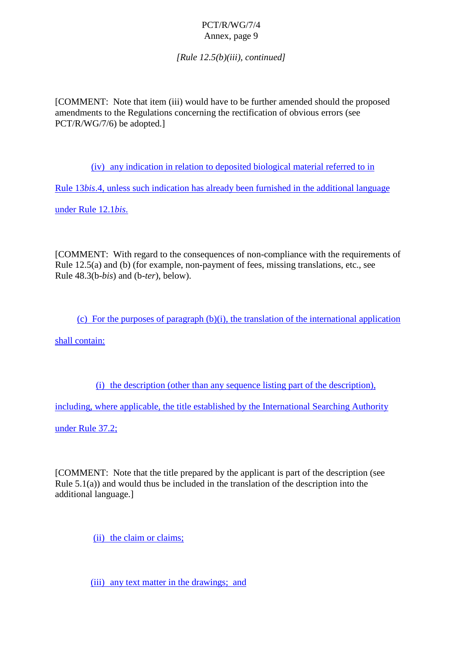*[Rule 12.5(b)(iii), continued]*

[COMMENT:Note that item (iii) would have to be further amended should the proposed amendments to the Regulations conc erning the rectification of obvious errors (see PCT/R/WG/7/6) beadopted.

(iv) anyindication in relation to deposite divergial material referred to in

Rule 13*bis*.4, unless such indication has already been furnished in the additional language

under Rul e 12.1*bis*.

[COMMENT: With regard to the consequences of non -compliance with the requirements of Rule  $12.5(a)$  and  $(b)$  (for example, non -payment of fees, missing translations, etc., see Rule 48.3(b-*bis*) and (b -*ter*), below).

(c) Forthe purposes of paragra ph  $(b)(i)$ , the translation of the international application

shall contain:

(i) the description (other than any sequence listing part of the description),

including, where applicable, the title established by the International Searching Authority

under Rul e 37.2;

[COMMENT: Note that the title prepared by the applicant is part of the description (see Rule  $5.1(a)$ ) and would thus be included in the translation of the description into the additionallanguage.]

(ii) the claim or claims;

(iii) any text matter in the drawings; and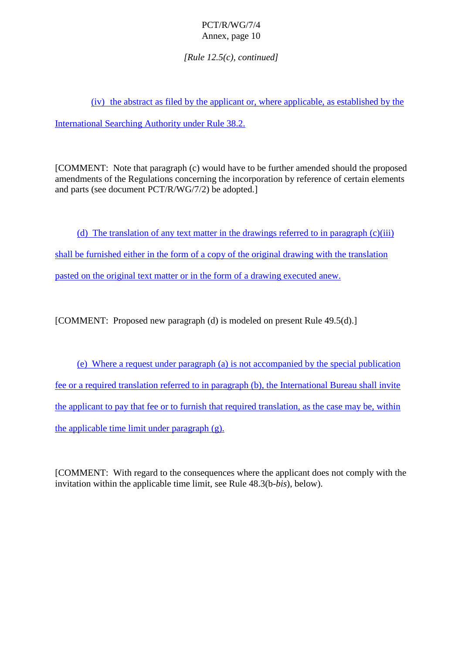*[Rule 12.5(c), continued]*

 $(iv)$  the abstract as filed b y the applicant or , where applicable, as established by the

International Searching Authority under Rule 38.2.

[COMMENT: Note that paragraph (c) would have to be further amended should the proposed amendments of the Regulations concerning the incorporation by reference of certain elements and parts (seed ocument PCT/R/WG/7/2) be adopted.]

(d) The translation of any text matter in the drawings referred to inparagraph (c)(iii) shall be furnished either in the form of a copy of the original drawing with the translation pasted on the original text matter or in the form of a drawing executed anew.

 $[COMMENT: Proposed new paragraph (d) is modeled on present Rule 49.5(d).]$ 

(e) Where a request under paragraph (a) is not accompanied by the special publication fee or a required translation referred to in paragraph (b), the International Bureau shall invite the applicant to pay that fee or to furnish that required translation, as the case may be, within  $the applicable time limit under paragraph(g).$ 

[COMMENT: With regard to the consequences where the applicant does not comply with the invitation within the applicable time limit, see Rule 48.3(b-*bis*), below).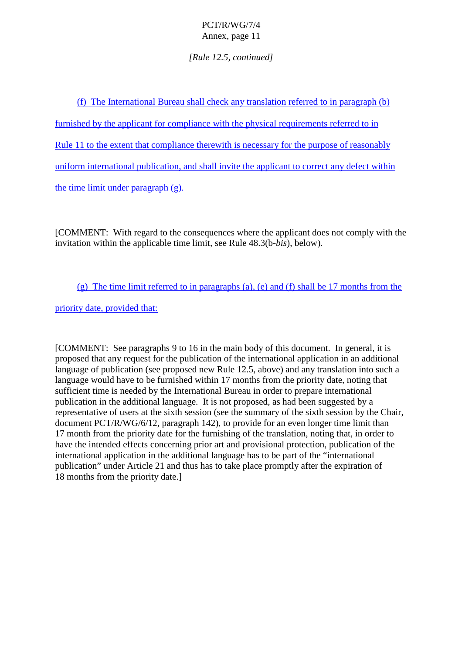## *[Rule 12.5, continued]*

| (f) The International Bureaushall checkany translation referred to inparagraph               | (b) |
|----------------------------------------------------------------------------------------------|-----|
| furnishedbytheapplicantforcompliancewiththephysical requirements referred to in              |     |
| Rule 11totheextentthatcompliancetherewithisnecessaryforthepurposeofreasona                   | bly |
| uniforminternationalpublication, and shall invite the applicant to correct any defect within |     |
| thetimelimitunderparagraph<br>$(g)$ .                                                        |     |

[COMMENT:With regard to the consequences where the applicant does not comply with the invitation within the applicable time limit, see Rule 48.3(b-*bis*), below).

(g) The time limit referred to in paragraphs (a), (e) and (f) shall be 17 months from the

priority date, provided that:

[COMMENT: See paragraphs 9 to 16 in the main body of this document. In general, it is proposed that any request for the publication of the international application in an additional language of publication (see proposed new Rule 12.5, above) and any translat ion into such a language would have to be furnished within 17 months from the priority date, noting that sufficient time is needed by the International Bureau in order to prepare international publication in the additional language. It is not proposed, as had been suggested by a representative of users at the sixth session (see the summary of the sixth session by the Chair, document PCT/R/WG/6/12, paragraph 142), to provide for an even longer time limit than 17 month from the priority date for the furnishi ng of the translation, noting that, in order to have the intended effects concerning prior art and provisional protection, publication of the international application in the additional language has to be part of the "international publication" under Artic le 21 and thus has to take place promptly after the expiration of 18 months from the priority date.]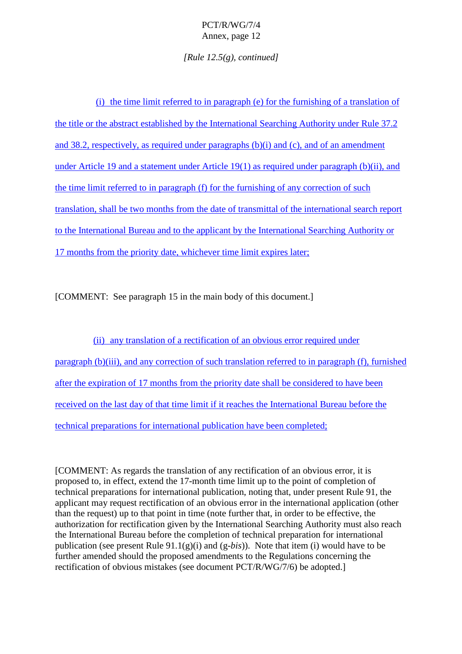*[Rule 12.5(g), continued]*

(i) the time limit referred to in paragraph (e) for the furnishing of a translation of the title or the abstractestablished by the International Searching Authority under Rule 37.2 and  $38.2$ , respectively, as required under paragraphs (b)(i) and (c), and of an amendment under Article 19 and a statement under Article 19(1) as required under paragraph (b)(ii), and the time limit refe rred to in paragraph (f) for the furnishing of any correction of such the intertranslation, shall be two months from the date of transmittal of the international search report to the International Bureau and to the applicant by the International Searching Authority or 17 months from the priority date, which ever time limit expires later;

[COMMENT:Seeparagraph 15 in the main body of this document.]

(ii) any translation of a rectification of a nobvious error required unde r paragraph (b)(iii), and any correction of such translation referred to inparagraph (f), furnished after the expiration of 17 months from the priority dates hall be considered to have been received on the last day of that time limit if it reaches the Int ernational Bureau before the technical preparations for international publication have been completed;

[COMMENT: As regards the translation of any rectification of an obvious error, it is proposed to, in effect, extend the 17 -month time limit up to the point of completion of technical preparations for international publication, noting that, under present Rule 91, the applicant may request rectification of an obvious error in the international application (other than the request) up to that point in time (no tefurther that, in order to be effective, the authorization for rectification given by the International Searching Authority must also reach the International Bureau before the completion of technical preparation for international publication (see present Rule 91.1(g)(i) and (g -*bis*)). Note that item (i) would have to be furtheramended should the proposed amendments to the Regulations concerning the rectification of obvious mistakes (seed ocument PCT/R/WG/7/6) be adopted.]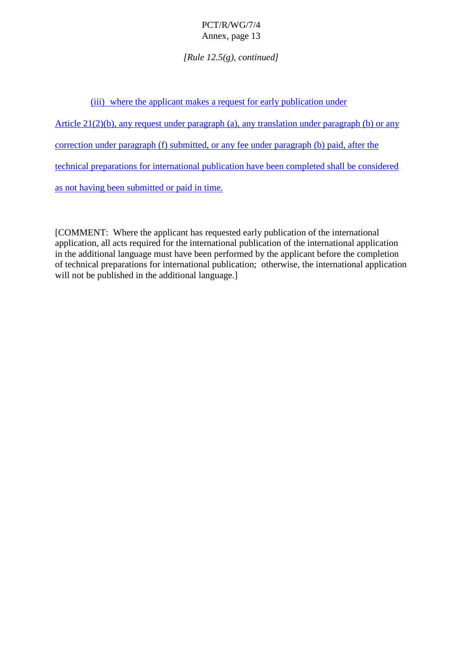*[Rule 12.5(g), continued]*

| (iii) where the applicant makes are quest for early publication under              |           |
|------------------------------------------------------------------------------------|-----------|
| Article 21(2)(b), any requestunder paragraph(a), any translation under paragraph   | (b) orany |
| correctionunderparagraph(f)submitted,oranyfeeunderparagraph(b)paid,afterthe        |           |
| technicalpreparationsforinternationalpublicationhavebeencompletedshallbeconsidered |           |
| as nothaving been submitted or paid in time.                                       |           |

[COMMENT:Where the applicant has requested early publication of the international application, all acts required for the international publication of the international application in the additional language must have been performed by the applicant before the completion of technical preparations for international publication; otherwise, the international application will not be published in the additional language.]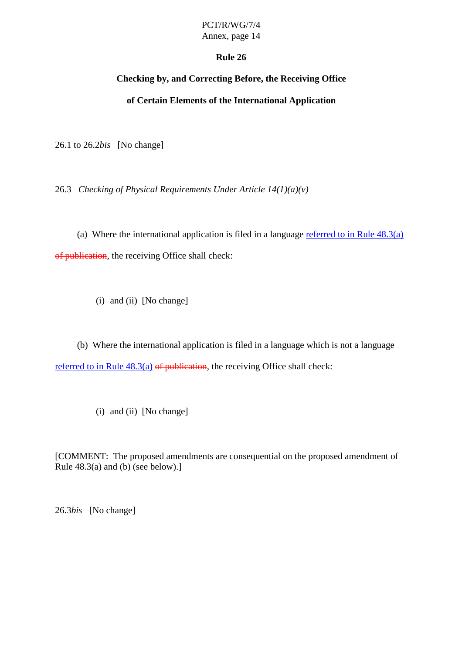# PCT/R/WG/7/4

Annex, page 14

## **Rule 26**

## **Checking by, and Correcting Before, the Receiving Office**

## **of Certain Elements of the International Application**

26.1 to 26.2 *bis* [No change]

26.3 *Checking of Physical Requirements Under Article 14(1)(a) (v)*

(a) Where the international application is filed in a language referred to in Rule  $48.3(a)$ of publication , the receiving Office shall check:

(i) and (ii) [No change]

(b) Where the international application is filed in a language which is not a la nguage referred to in Rule  $48.3(a)$  of publication, the receiving Offices hall check:

 $(i)$  and  $(ii)$  [No change]

[COMMENT:The proposed amendments are consequential on the proposed amendment of Rule  $48.3(a)$  and  $(b)$  (see below).]

26.3*bis* [Nochange]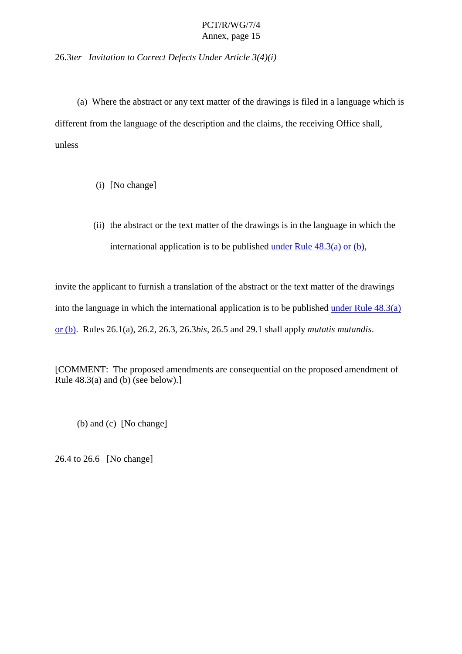26.3*ter Invitation to Correct Defects Under Article 3(4)(i)*

(a) Where the abstract or any text matter of the drawings is filed in a language which is different from the language of the description and the claims, the receiving Office shall, unless

- (i) [Nochange]
- (ii) the abstract or the text matter of the drawings is in the language in which the

international application is to be published under Rule  $48.3(a)$  or (b),

invite the applicant to furnish a translation of the abstract or the text matter of the d rawings into the language in which the international application is to be published under Rule  $48.3(a)$ or (b) . Rules 26.1(a), 26.2, 26.3, 26.3 *bis*, 26.5 and 29.1 shall apply *mutatis mutandis* .

[COMMENT:The proposed amendments are consequential on the prop osed amendment of Rule  $48.3(a)$  and  $(b)$  (see below).]

 $(b)$  and  $(c)$  [No change]

 $26.4 \text{ to} 26.6$  [No change]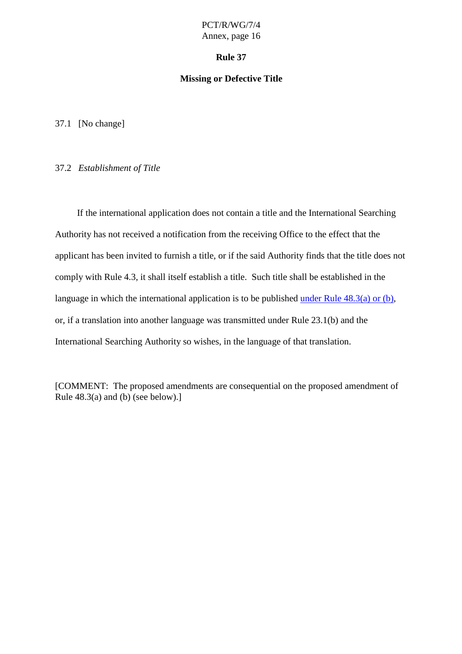#### **Rule 37**

#### **Missing or Defective Title**

37.1 [Nochange]

#### 37.2 *EstablishmentofTitle*

If the international application does not contain a title and the International Searching Authority has not received a notification from the receiving Office to the effect that the applicant has been invited to furnish a title, or if the said Authority finds that the title does not comply with Rule 4.3, it shall itsel festablishatitle. Such titleshall be established in the language in which the international application is to be published under Rule  $48.3(a)$  or (b), or, if a translation into another language was transmitted under Rule 23.1(b) and the International S earching Authority sowishes, in the language of that translation.

[COMMENT:The proposed amendments are consequential on the proposed amendment of Rule  $48.3(a)$  and  $(b)$  (see below).]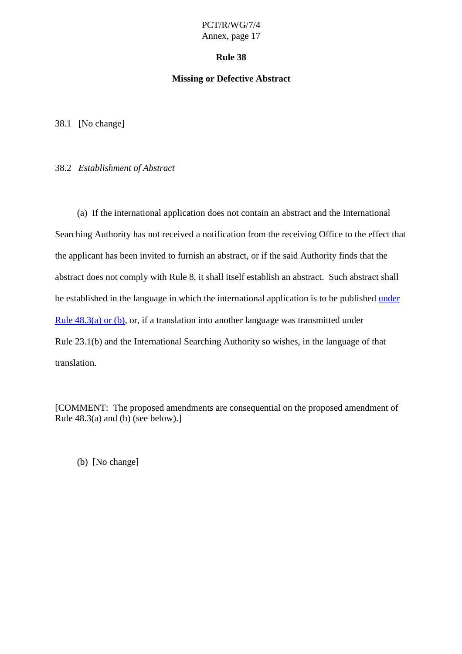#### **Rule 38**

#### **Missing or Defective Abstract**

38.1 [Nochange]

#### 38.2 *EstablishmentofAbstract*

(a) If the international application does not contain an abstract and the International Searching Authority has not received a notification from the receiving Office to the effect that the applicant has been invited to furnish anabst ract, or if the said Authority finds that the abstractdoesnotcomplywith Rule 8, it shall itself establish an abstract. Such abstractshall be established in the language in which the international application is to be published under Rule  $48.3(a)$  or  $(b)$ , or, if a translation into another language was transmitted under Rule 23.1(b) and the International Searching Authority so wishes, in the language of that translation.

[COMMENT:The proposed amendments are consequential on the proposed amendment of Rule  $48.3$ (a) and (b) (see below).]

(b) [Nochange]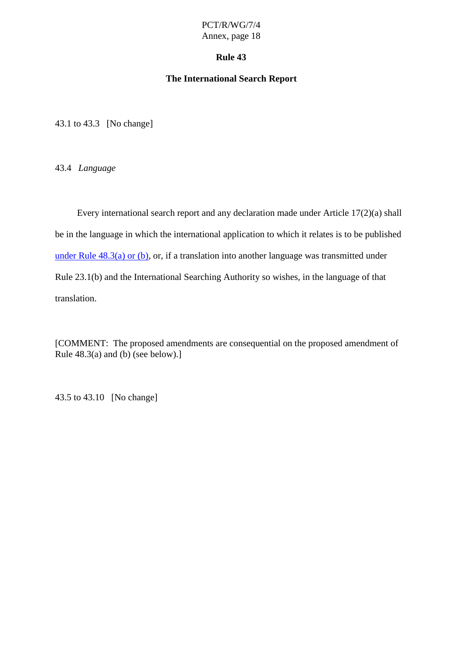#### **Rule 43**

#### **The International Search Report**

43.1 to 43.3 [No change]

43.4 *Language*

Every international search report and any declaration made under Article 17(2)(a) shall beinthe language in which the international application to which it relates is to be published under Rule  $48.3(a)$  or  $(b)$ , or, if a translation into another language was transmitted under Rule 23.1(b) and the International Searching Authority so wishes, in the language of that translation.

[COMMENT:The proposed amendments are consequential on the proposed amendment of Rule  $48.3(a)$  and  $(b)$  (see below).]

43.5 to 43.10 [No change]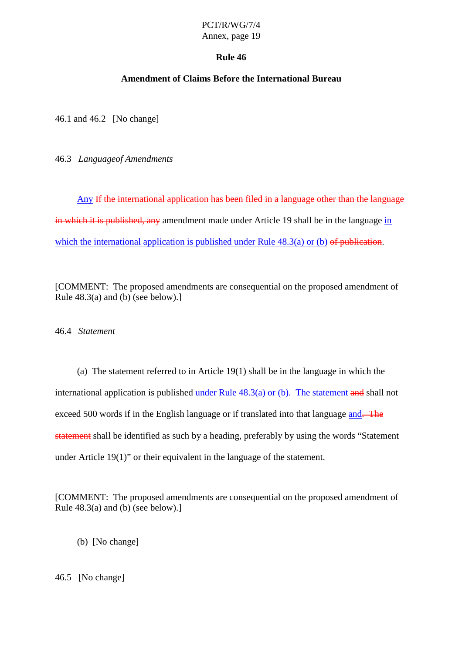# PCT/R/WG/7/4

## Annex, page 19

## **Rule 46**

## **Amendment of Claims Before the International Bureau**

46.1 and 46.2 [No change]

46.3 *Language of Amendments*

Any If the international application has been filed in a language other than the language in which it is published, any amendment made under Article 19 shall be inthe language in which the international application is published under Rule  $48.3(a)$  or (b) of publication.

[COMMENT:The proposed amendments are consequential on the proposed amendment of Rule  $48.3$ (a) and (b) (see below).]

46.4 *Statement*

(a) The statement referred to in Article 19(1) shall be in the language in which the international application is published under Rule  $48.3(a)$  or  $(b)$ . The statement and shall not  $exceed 500$  words if in the English language or if translated into that language and. The statement shall be identified as such by a heading, preferably by using the words "Statement" under Article 19(1)" or their equivalent in the language of the statement.

[COMMENT:The proposed amendments are consequential on the proposed amendment of Rule  $48.3(a)$  and  $(b)$  (see below).

- (b) [Nochange]
- 46.5 [Nochange]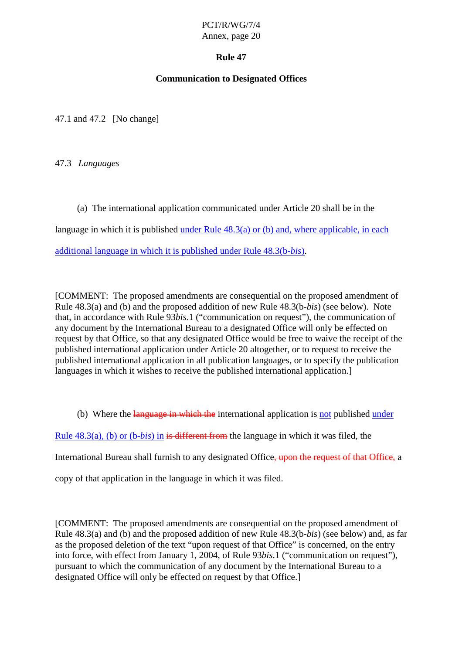## **Rule 47**

## **Communication to Designated Offices**

47.1 and 47.2 [No change]

47.3 *Languages*

(a) The international application communicated under Article 20 shall be in the

language in which it is published under Rule  $48.3(a)$  or  $(b)$  and, where applicable, in each

additional language in which it is published under Rule 48.3(b-*bis*).

[COMMENT: The proposed amendments are consequential on the proposed amendment of Rule 48.3(a) and (b) and the proposed addition of new Rule 48.3(b-*bis*) (see below). Note that, in accordan ce with Rule 93*bis*.1 ("communication on request"), the communication of any document by the International Bureau to a designated Office will only be effected on request by that Office, so that any designated Office would be free towaive the receipt of the published international application under Article 20 altogether, or to request to receive the published international application in all publication languages, or to specify the publication languages in which it wishes to receive the published internation alapplication.

(b) Where the language in which the international application is not published under

Rule 48.3(a), (b) or (b-*bis*) in is different from the language in which it was filed, the

International Bureau shall furnish to any designated Office  $\frac{1}{2}$  bonthe request of that Office, a

copy of that application in the language in which it was filed.

[COMMENT:The proposed amendments are consequential on the proposed amendment of Rule 48.3(a) and (b) and the proposed addition of new Rule 48.3(b-*bis*) (see below) and, as far as the proposed deletion of the text "upon request of that Office" is concerned, on the entry into force, with effect from January 1, 2004, of Rule 93*bis*. 1 ("communication on request"), pursuant to which the communication of any document by the International Bureau to a designated Office will only be effected on request by that Office.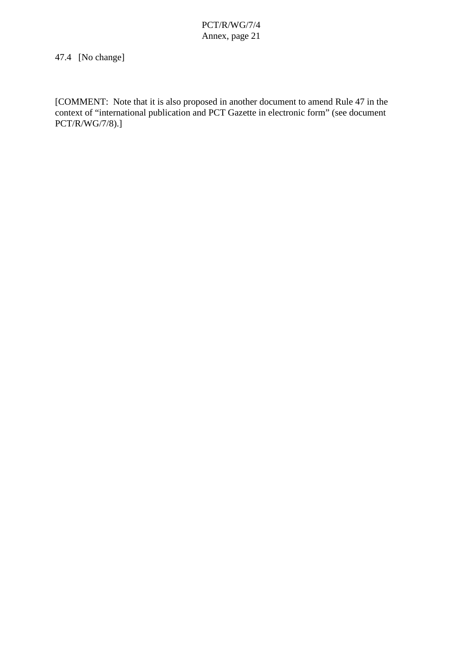## 47.4 [Nochange]

[COMMENT:Note that it is also proposed in another document to amend Rule 47 in the context of "international publication and PCTGaze teinelectronic form" (see document context of "international publication and PCT Gaze PCT/R/WG/7/8).]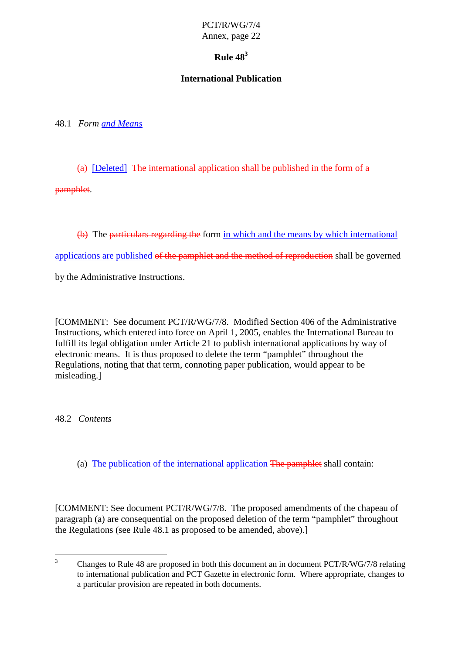## $RulA8<sup>3</sup>$

## **International Publication**

48.1 *Form and Means*

 $(a)$  [Deleted] The international applications hall be published in the form of a

pamphlet.

(b) The particular stregarding the form in which and the means by which international

applications are published of the pamphlet and the method of reproduction shall be governed

by the Administrative Instructions.

[COMMENT: See document PCT/R/WG/7/8. Modified Section 406 of the Administrative Instructions, which entered into force on April 1, 2005, enables the International Bureau to fulfillits legal obligation under Article 21 to publish international applications by way of electronic means. It is thus proposed to delete the term "pamphlet" throughou the Regulations, noting that that term, connoting paper publication, would appear to be misleading.]

48.2 *Contents*

(a) The publication of the international application The pamphlet shall contain:

[COMMENT:SeedocumentPCT/R/WG/7/8.The proposed ame ndments of the chapeau of paragraph(a) are consequential on the proposed deletion of the term "pamphlet" throughout the Regulations (see Rule 48.1 as proposed to be amended, above).]

<sup>&</sup>lt;sup>3</sup> Changesto Rule 48 are proposed in both this document an indocument PCT/R/WG/7/8 relating to international publication and PCT Gazette in electronic form. Where appropriate, changes to apar ticular provision are repeated in both documents.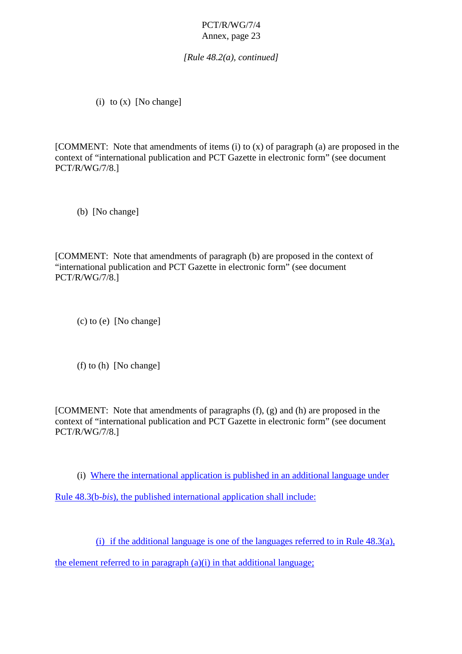*[Rule 48.2(a), continued]*

(i)  $to(x)$  [No change]

 $[COMMENT:Notethat$  amendments of  $items(i) to(x)$  of paragraph  $(a)$  are proposed in the context of "international publication and PCT Gazette in electronic form" (see document PCT/R/WG/7/8.]

(b) [Nochange]

[COMMENT: Note that amendments of paragraph (b) are proposed in the econtext of "international publication and PCT Gazette inelectronic form" (seed ocument PCT/R/WG/7/8.]

 $(c)$  to  $(e)$  [No change]

 $(f)$  to  $(h)$  [No change]

 $[COMMENT:Noteth at a mendments of paragraphs(f), (g) and (h) are proposed in the$ context of "intern ational publication and PCT Gazette inelectronic form" (see document PCT/R/WG/7/8.]

(i) Where the international application is published in an additional language under

Rule 48.3(b-*bis*), the published international applicationshall include:

(i) if the additional language is one of the languages referred to in Rule  $48.3(a)$ ,

 $the element referred to in paragraph (a)(i) in that additional language;$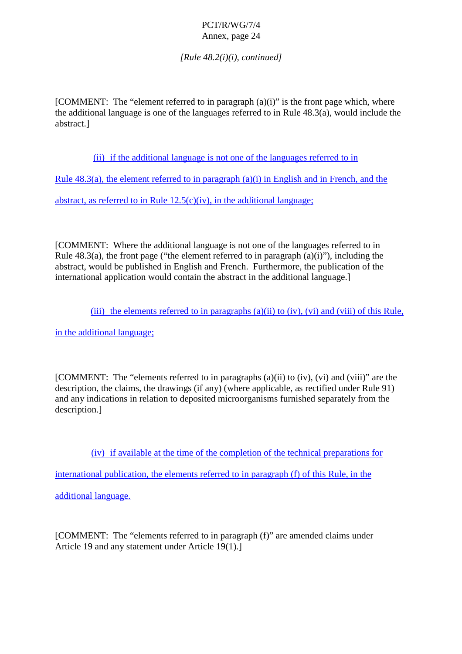*[Rule 48.2(i)(i), continued]*

 $[COMMENT: The "element referred to in paragraph (a)(i)" is the front page which$ , where  $the additional language is one of the language is referred to in Rule 48.3(a), would include the$ abstract.]

(ii) if the additional language is not one of the languages referred to in

Rule  $48.3(a)$ , the element referred to in paragraph  $(a)(i)$  in Engli sh and in French, and the

 $abstractionRule \t12.5(c)(iv), in the additional language;$ 

[COMMENT: Where the additional language is not one of the languages referred to in Rule  $48.3(a)$ , the front page ("the element referred to in paragraph  $(a)$  (i)"), including the abstract, would be published in English and French. Furthermore, the publication of the international application would contain the abstract in the additional language. ]

(iii) the elements referred to in paragraphs (a)(ii) to (iv), (v i) and (viii) of this Rule,

in the additional language;

 $[COMMENT: The "elements referred to in paragraphs \t(a)(ii) to (iv),(vi) and \t(viii)" are the$ description, the claims, the drawings (if any) (where applicable, as rectified under Rule 91) and any indic ations in relation to deposite dmicroorganisms furnished separately from the description.]

(iv) if available at the time of the completion of the technical preparations for

international publication, the elements referred to in paragraph (f) of this Rule, in the

additionallanguage.

[COMMENT:The "elements referred to in paragraph (f)" are amended claims under Article 19 and any statement under Article 19(1).]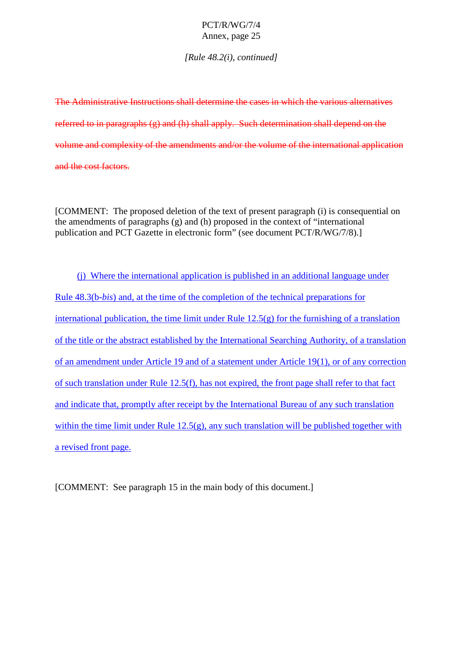*[Rule 48.2(i), continued]*

The Administrative Instructions shall determine the cases in which the various alternatives  $referred to in paragraphs(g) and (h) shall apply. Such determinations shall depend on the$ volume and complexity of the amendments and/orthe volume of the international application and the cost factors.

[COMMENT: The proposed deleti on of the text of present paragraph (i) is consequential on  $the amendments of paragraphs (g) and (h) proposed in the context of "international"$ publication and PCT Gazette in electronic form" (seed ocument PCT/R/WG/7/8).]

(i) Where the international appli cation is published in an additional language under Rule 48.3(b-*bis*) and, at the time of the completion of the technical preparations for international publication, the time limit under Rule  $12.5(g)$  for the furnishing of a translation of the title or the a bstractestablished by the International Searching Authority, of a translation of an amendment under Article 19 and of a statement under Article 19(1), or of any correction of such translation under Rule 12.5(f), has not expired, the front page shall refer to that fact and indicate that, promptly after receipt by the International Bureau of any such translation within the time limit under Rule  $12.5(g)$ , any such translation will be published together with arevised front page.

[COMMENT:Seeparagraph 15 in the main body of this document.]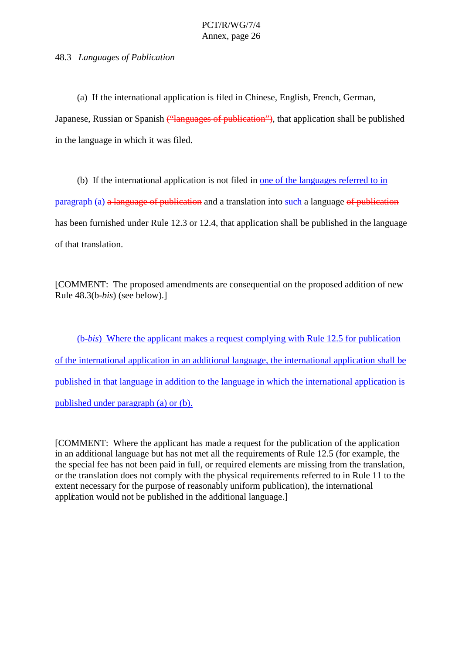#### 48.3 *Languages of Publication*

(a) If the international application is filed in Chinese, English, French, German,

Japanese, Russian or Spanish ("languages of publication") , that application shall be published in the language in which it was filed.

(b) If the international application is not filed in one of the languages referred to in  $paragnh(a)$  a language of publication and a translation into such a language of publication has been furnished under Rule 12.3 or 12.4, that applications hall be published in the language of that translation.

[COMMENT:The proposed amendments are consequential on the proposed addition of new Rule  $48.3(b-bis)$  (see below).]

(b-*bis*) Where the ap plicant makes are quest complying with Rule 12.5 for publication of the international application in an additional language, the international applicationshall be published in that language in addition to the language in which the international applicatio nis published under paragraph (a) or (b).

[COMMENT: Where the applicant has made a request for the publication of the application in an additional language but has not met all the requirements of Rule 12.5 (for example, the the special fee has not been p aid in full, or required elements are missing from the translation, orthe translation does not comply with the physical requirements referred to in Rule 11 to the extent necessary for the purpose of reasonably uniform publication), the international application would not be published in the additional language.]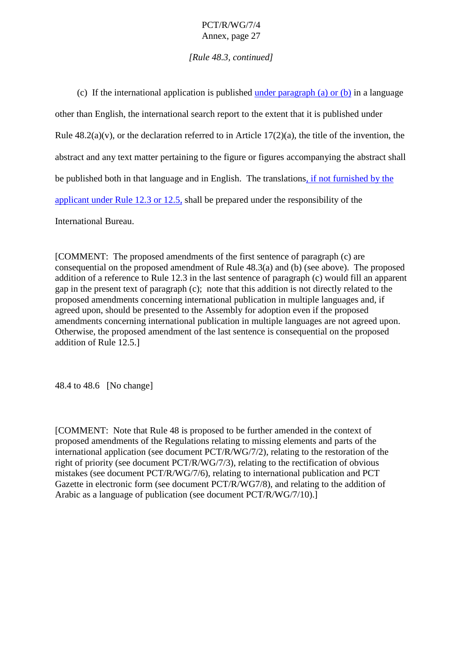## *[Rule 48.3, continued]*

| (c) If the international application is published                                                     |                                                      |  | $underparagnb(a)or(b)$ inalanguage |  |  |
|-------------------------------------------------------------------------------------------------------|------------------------------------------------------|--|------------------------------------|--|--|
| otherthanEnglish,theinternationalsearchreporttotheextentthatitispubl                                  |                                                      |  | ishedunder                         |  |  |
| Rule $48.2(a)(v)$ , orthedeclaration referred to in Article 17(2)(a), the title of the invention, the |                                                      |  |                                    |  |  |
| abstractandanytextmatterpertainingtothefigureorfiguresaccompanyingtheabstractshall                    |                                                      |  |                                    |  |  |
| bepublishedbothinthatlanguageandinEngl                                                                | ish. The translations <i>if not furnished by the</i> |  |                                    |  |  |
| applicantunderRule12.3or12.5, shallbepreparedundertheresponsibility of the                            |                                                      |  |                                    |  |  |
|                                                                                                       |                                                      |  |                                    |  |  |

International Bureau.

 $[COMMENT: The proposed amendments of the first sentence of paragraph (c) are$  $consequential on the pr-oposed a mendment of Rule 48.3(a) and (b) (see above). The proposed$  $addition of a reference to Rule 12.3 in the last sentence of paragraph (c) would fill an apparent$ gap in the present text of paragraph (c); note that this addition is not directly related to the proposed amendments concerning international publication in multiple languages and, if agreed upon, should be presented to the Assembly for adoption even if the proposed amendments concerning international publication in multiple languages are not agreed upon. Otherwise, the proposed amendment of the last sentence is consequential on the proposed addition of Rule 12.5.]

48.4 to 48.6 [No change]

[COMMENT: Note that Rule 48 is proposed to be further amended in the context of proposed amendments of the Regulations relating to missing elements and parts of the international application (seed ocument PCT/R/WG/7/2), relating to the restoration of the right of priority (seed ocument PCT/R/WG/7/3), relating to the rectification of obvious  $mistakes (seed o cument PCT/R/WG/7/6)$ , relating to international publication and PCT Gazetteinelectronic form (seedocument PCT/R/WG7/8), and relating to the addition of Arabic as a language of publication (seed ocument  $PCT/R/WG/7/10$ ).]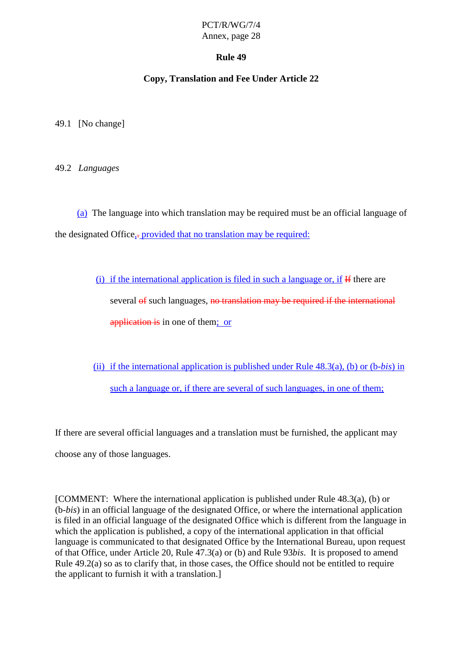## **Rule 49**

## **Copy, Translation and Fee Under Article 22**

49.1 [Nochange]

49.2 *Languages*

(a) The language into which translation may be required must be an official language of the designated Office ,<del>provided that no translation may be required</del>:

> $(i)$  if the international application is f iled in such a language or, if Hithere are several of such languages, not ranslation may be required if the international application is in one of the method in the set of the set of the set of the set of the set of the set of the s

(ii) if the international application is published under Rule  $48.3(a)$ , (b) or (b -*bis*) in such a l anguage or, if there are several of such anguages, in one of them;

If there are several official languages and a translation must be furnished, the applicant may

chooseany of those languages.

 $[COMMENT: Where the international application is published un-derRule 48.3(a), (b) or$ (b-*bis*) in an official language of the designated Office, or where the international application is filed in an official language of the designated Office which is different from the language in which the application is published, a copy of the international application in that official language is communicated to that designated Office by the International Bureau, upon request of that Office, under Article 20, Rule 47.3(a) or (b) and Rule 93*bis*. It is proposed to amend Rule 49.2(a) so as to clarify that, in those cases, the Office should not be entitled to require  $the application toturnis hit with a translation.$ ]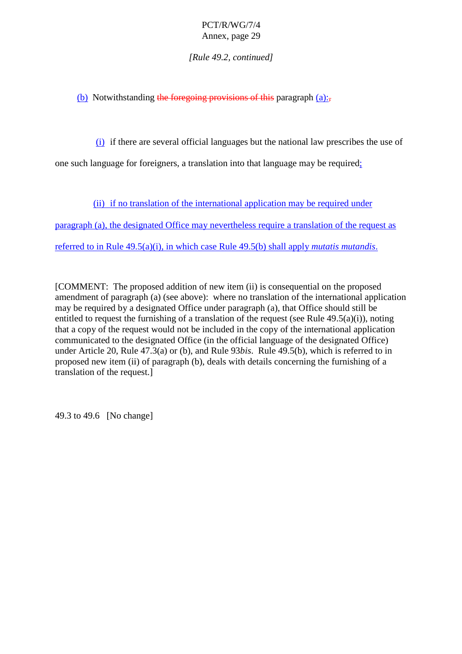*[Rule 49.2, continued]*

(b) Notwithstanding the foregoing provisions of this paragraph  $(a)$ :

 $(i)$  if there are several official languages but the national law prescribes the use of

one such language for foreigners, a translation into that language may be required  $\frac{1}{2}$ 

(ii) if no translation of the international application may be required under

paragraph (a), the designated O ffice may nevertheless require a translation of the requestas

referred to in Rule  $49.5(a)(i)$ , in which case Rule 49.5(b) shall apply *mutatis mutandis*.

[COMMENT:Thep roposedaddition of new item (ii) is consequential on the proposed amendment of paragrap h (a) (see above): where no translation of the international application may be required by a designated Office under paragraph (a), that Office should still be entitled to request the furnishing of a translation of the request (see Rule  $49.5(a)(i)$ ), noti ng that a copy of the request would not be included in the copy of the international application communicated to the designated Office (in the official language of the designated Office) under Article 20, Rule 47.3(a) or (b), and Rule 93*bis*. Rule 49.5(b), which is referred to in proposed new item (ii) of paragraph (b), deals with details concerning the furnishing of a translation of the request.]

49.3 to 49.6 [No change]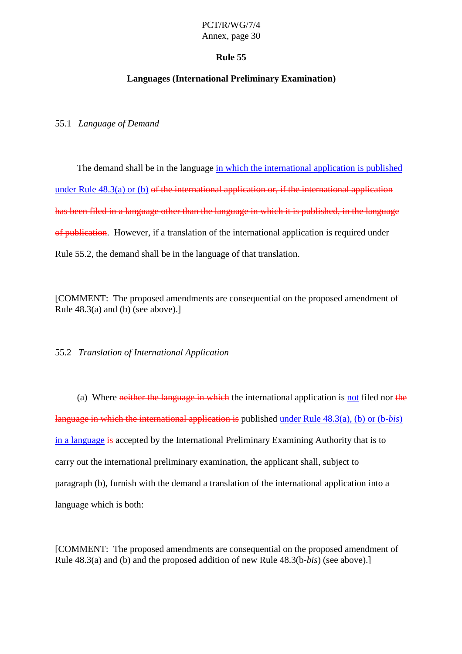#### **Rule 55**

## **Languages (International Preliminary Examination)**

55.1 *Language of Deman d*

The demand shall be in the language in which the international application is published under Rule  $48.3(a)$  or (b) of the international application or, if the international application has been filed in a language other than the language in which it is p ublished, in the language of publication. However, if a translation of the international application is required under Rule 55.2, the demandshall be in the language of that translation.

[COMMENT:The proposed amendments are consequential on the proposed amendment of Rule  $48.3(a)$  and  $(b)$  (see above).]

55.2 *Translation of International Application*

(a) Where  $neither the language in which—the international application is not field nor the$ language in which the international application is published under Rule 48.3(a), (b) or (b -*bis*) in a language is accepted by the International Preliminary Examining Authority that is to carry out the international preliminary examination, the applicant shall, subject to paragraph (b), furnish with the demandatranslatio nof the international application into a language which is both:

[COMMENT:The proposed amendments are consequential on the proposed amendment of Rule 48.3(a) and (b) and the proposed addition of new Rule 48.3(b-*bis*) (see above).]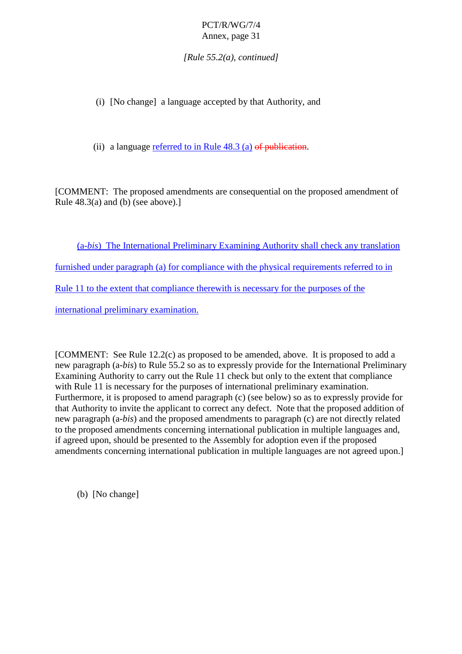*[Rule 55.2(a), continue d]*

(i) [Nochange] alanguage accepted by that Authority, and

(ii) alanguage referred to in Rule  $48.3(a)$  of publication.

[COMMENT:The proposed amendments are consequential on the proposed amendment of Rule  $48.3(a)$  and  $(b)$  (see above).

(a-*bis*) The International Preliminary Examining Authority shall check any translation furnished under paragraph (a) for compliance with the physical requirements referred to in Rule 11 to the extent that compliance there with is necessary for the purposes of the international preliminary examination.

[COMMENT: See Rule 12.2(c) as proposed to be amended, above. It is proposed to add a new paragraph (a-*bis*) to Rule 55.2 so as to expressly provide for the International Preliminary Examining Authority to carry out the Ru le 11 check but only to the extent that compliance with Rule 11 is necessary for the purposes of international preliminary examination. Furthermore, it is proposed to amend paragraph (c) (see below) so as to expressly provide for that Authority to invite the applicant to correct any defect. Note that the proposed addition of new paragraph (a-*bis*) and the proposed amendments to paragraph (c) are not directly related to the proposed amendments concerning international publication in multiple languages and, if agreed upon, should be presented to the Assembly for adoption even if the proposed amendments concerning international publication in multiple languages are not agreed upon.]

(b) [Nochange]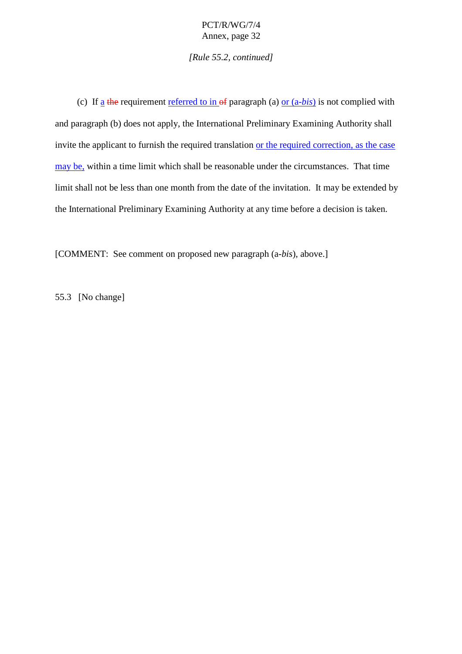*[Rule 55.2, continued]*

(c) If a the requirement referred to in  $\theta$  paragraph (a)  $\theta$  or  $(a - bi s)$  is not complied with and paragraph (b) does not apply, the International Preliminary Examining Authority shall invite the applicant to furnish the required translation or the required correction, as the case maybe, within a time limit which shall be reasonable under the circumstances. That time limitshall not be less than one month from the date of the invitation. It may be extended by the International Preliminary Examining Authority at any time before a decision is tak en.

[COMMENT:Seecommenton proposed new paragraph (a-*bis*), above.]

55.3 [Nochange]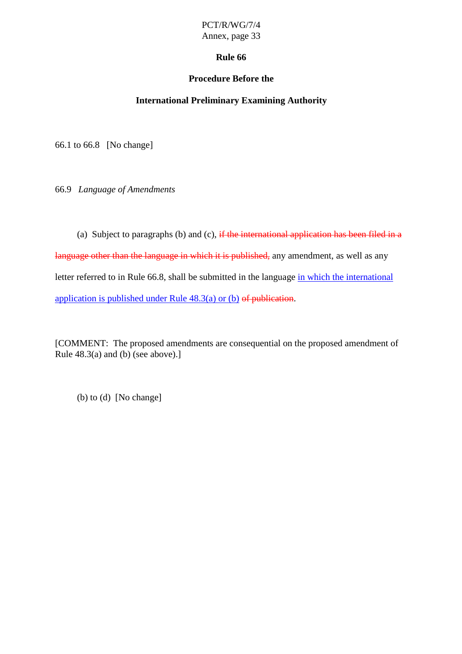## **Rule 66**

## **Procedure Before the**

## **International Preliminary Examining Authority**

66.1 to 66.8 [No change]

66.9 *Language of Amendments*

(a) Subjecttoparagraphs (b) and (c),  $\overline{\text{if the interactionalapplication has been filed in a}}$ language other than the language in which it is published, any amendment, as well as any letter referred to in Rule 66.8, shall be submitted in the language in which the international application is published under Rule  $48.3(a)$  or  $(b)$  of publication.

[COMMENT:The proposed amendments are consequential on the proposed amendment of Rule  $48.3(a)$  and  $(b)$  (see above).]

 $(b)$  to  $(d)$  [No change]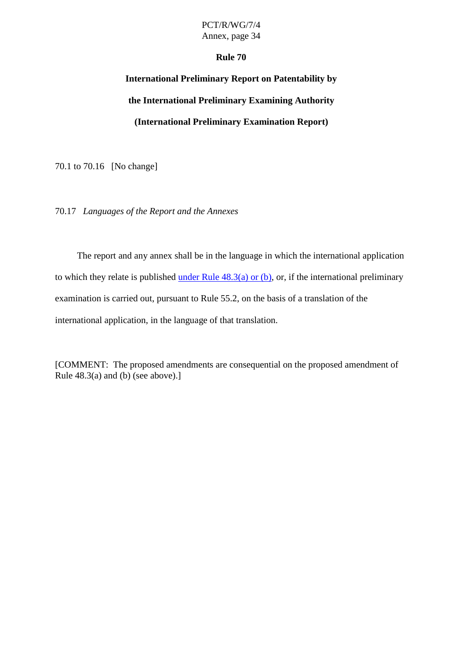#### **Rule 70**

# International Preliminary Report on Patentabili tyby **the International Preliminary Examining Authority (International Preliminary Examination Report)**

70.1 to 70.16 [No change]

70.17 *Languages of the Report and the Annexes*

The report and any annex shall be in the language in which the international application to which the yrelate is published under Rule  $48.3(a)$  or (b) , or, if the international preliminary examination is carried out, pursuant to Rule 55.2, on the basis of a translation of the international application, in the language of that transl ation.

[COMMENT:The proposed amendments are consequential on the proposed amendment of Rule  $48.3(a)$  and  $(b)$  (see above).]